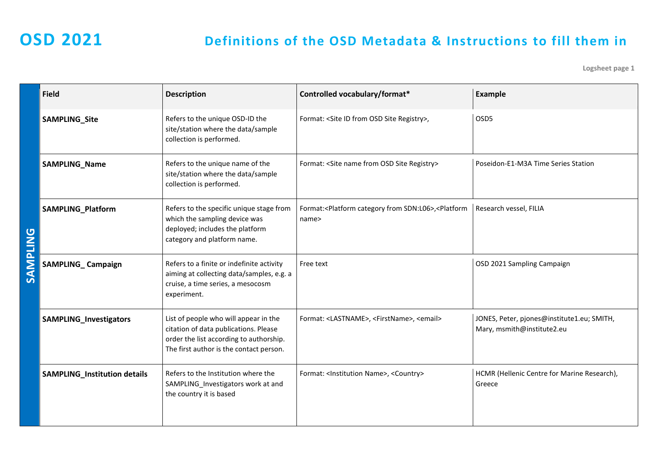**Logsheet page 1**

|                 | <b>Field</b>                        | <b>Description</b>                                                                                                                                                   | Controlled vocabulary/format*                                                                    | <b>Example</b>                                                           |
|-----------------|-------------------------------------|----------------------------------------------------------------------------------------------------------------------------------------------------------------------|--------------------------------------------------------------------------------------------------|--------------------------------------------------------------------------|
|                 | <b>SAMPLING_Site</b>                | Refers to the unique OSD-ID the<br>site/station where the data/sample<br>collection is performed.                                                                    | Format: < Site ID from OSD Site Registry>,                                                       | OSD5                                                                     |
|                 | SAMPLING_Name                       | Refers to the unique name of the<br>site/station where the data/sample<br>collection is performed.                                                                   | Format: < Site name from OSD Site Registry>                                                      | Poseidon-E1-M3A Time Series Station                                      |
|                 | SAMPLING_Platform                   | Refers to the specific unique stage from<br>which the sampling device was<br>deployed; includes the platform<br>category and platform name.                          | Format: <platform category="" from="" sdn:l06="">,<platform<br>name&gt;</platform<br></platform> | Research vessel, FILIA                                                   |
| <b>SAMPLING</b> | <b>SAMPLING_Campaign</b>            | Refers to a finite or indefinite activity<br>aiming at collecting data/samples, e.g. a<br>cruise, a time series, a mesocosm<br>experiment.                           | Free text                                                                                        | OSD 2021 Sampling Campaign                                               |
|                 | <b>SAMPLING_Investigators</b>       | List of people who will appear in the<br>citation of data publications. Please<br>order the list according to authorship.<br>The first author is the contact person. | Format: <lastname>, <firstname>, <email></email></firstname></lastname>                          | JONES, Peter, pjones@institute1.eu; SMITH,<br>Mary, msmith@institute2.eu |
|                 | <b>SAMPLING_Institution details</b> | Refers to the Institution where the<br>SAMPLING_Investigators work at and<br>the country it is based                                                                 | Format: <lnstitution name="">, <country></country></lnstitution>                                 | HCMR (Hellenic Centre for Marine Research),<br>Greece                    |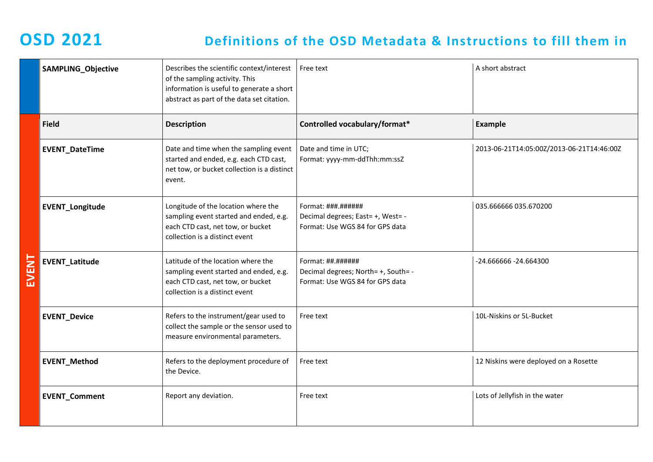| <b>SAMPLING_Objective</b> | Describes the scientific context/interest<br>of the sampling activity. This<br>information is useful to generate a short<br>abstract as part of the data set citation. | Free text                                                                                                 | A short abstract                          |
|---------------------------|------------------------------------------------------------------------------------------------------------------------------------------------------------------------|-----------------------------------------------------------------------------------------------------------|-------------------------------------------|
| <b>Field</b>              | <b>Description</b>                                                                                                                                                     | Controlled vocabulary/format*                                                                             | <b>Example</b>                            |
| <b>EVENT_DateTime</b>     | Date and time when the sampling event<br>started and ended, e.g. each CTD cast,<br>net tow, or bucket collection is a distinct<br>event.                               | Date and time in UTC;<br>Format: yyyy-mm-ddThh:mm:ssZ                                                     | 2013-06-21T14:05:00Z/2013-06-21T14:46:00Z |
| <b>EVENT_Longitude</b>    | Longitude of the location where the<br>sampling event started and ended, e.g.<br>each CTD cast, net tow, or bucket<br>collection is a distinct event                   | Format: $\# \# \# \# \# \# \# \#$<br>Decimal degrees; East= +, West= -<br>Format: Use WGS 84 for GPS data | 035.666666 035.670200                     |
| <b>EVENT_Latitude</b>     | Latitude of the location where the<br>sampling event started and ended, e.g.<br>each CTD cast, net tow, or bucket<br>collection is a distinct event                    | Format: ##.######<br>Decimal degrees; North= +, South= -<br>Format: Use WGS 84 for GPS data               | -24.666666 - 24.664300                    |
| <b>EVENT_Device</b>       | Refers to the instrument/gear used to<br>collect the sample or the sensor used to<br>measure environmental parameters.                                                 | Free text                                                                                                 | 10L-Niskins or 5L-Bucket                  |
| <b>EVENT_Method</b>       | Refers to the deployment procedure of<br>the Device.                                                                                                                   | Free text                                                                                                 | 12 Niskins were deployed on a Rosette     |
| <b>EVENT_Comment</b>      | Report any deviation.                                                                                                                                                  | Free text                                                                                                 | Lots of Jellyfish in the water            |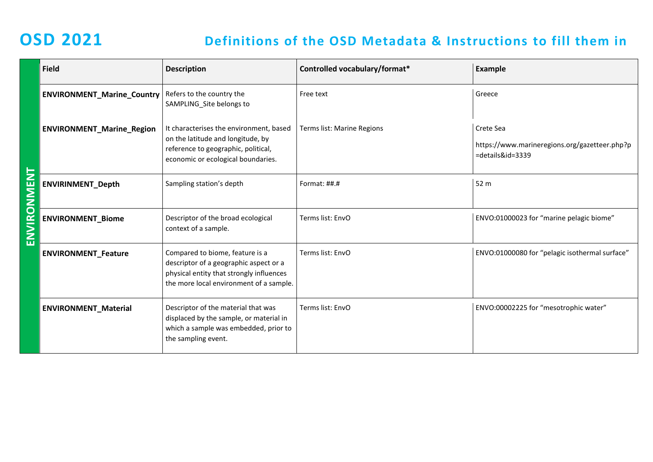|              | <b>Field</b>                      | <b>Description</b>                                                                                                                                               | Controlled vocabulary/format* | <b>Example</b>                                                                 |
|--------------|-----------------------------------|------------------------------------------------------------------------------------------------------------------------------------------------------------------|-------------------------------|--------------------------------------------------------------------------------|
|              | <b>ENVIRONMENT_Marine_Country</b> | Refers to the country the<br>SAMPLING_Site belongs to                                                                                                            | Free text                     | Greece                                                                         |
|              | <b>ENVIRONMENT_Marine_Region</b>  | It characterises the environment, based<br>on the latitude and longitude, by<br>reference to geographic, political,<br>economic or ecological boundaries.        | Terms list: Marine Regions    | Crete Sea<br>https://www.marineregions.org/gazetteer.php?p<br>=details&id=3339 |
|              | <b>ENVIRINMENT_Depth</b>          | Sampling station's depth                                                                                                                                         | Format: ##.#                  | 52 m                                                                           |
| $\mathsf{S}$ | <b>ENVIRONMENT_Biome</b>          | Descriptor of the broad ecological<br>context of a sample.                                                                                                       | Terms list: EnvO              | ENVO:01000023 for "marine pelagic biome"                                       |
|              | <b>ENVIRONMENT_Feature</b>        | Compared to biome, feature is a<br>descriptor of a geographic aspect or a<br>physical entity that strongly influences<br>the more local environment of a sample. | Terms list: EnvO              | ENVO:01000080 for "pelagic isothermal surface"                                 |
|              | <b>ENVIRONMENT_Material</b>       | Descriptor of the material that was<br>displaced by the sample, or material in<br>which a sample was embedded, prior to<br>the sampling event.                   | Terms list: EnvO              | ENVO:00002225 for "mesotrophic water"                                          |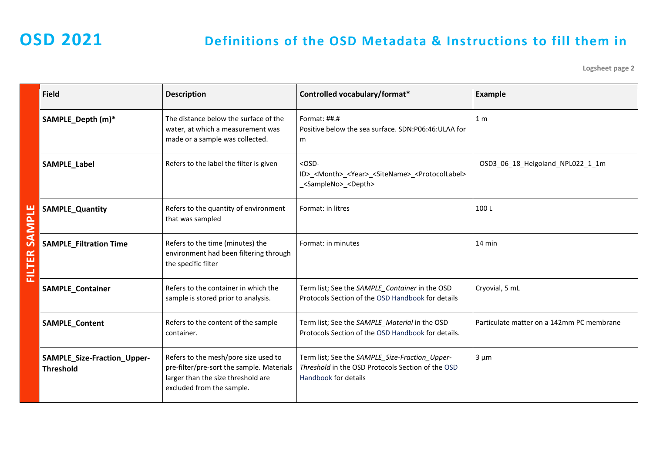**Logsheet page 2**

| <b>Field</b>                                    | <b>Description</b>                                                                                                                                   | Controlled vocabulary/format*                                                                                                                  | Example                                   |
|-------------------------------------------------|------------------------------------------------------------------------------------------------------------------------------------------------------|------------------------------------------------------------------------------------------------------------------------------------------------|-------------------------------------------|
| SAMPLE_Depth (m)*                               | The distance below the surface of the<br>water, at which a measurement was<br>made or a sample was collected.                                        | Format: $\#$ $\#$ . $\#$<br>Positive below the sea surface. SDN:P06:46:ULAA for<br>m                                                           | 1 <sub>m</sub>                            |
| SAMPLE_Label                                    | Refers to the label the filter is given                                                                                                              | $<$ OSD-<br>ID>_ <month>_<year>_<sitename>_<protocollabel><br/><sampleno> <depth></depth></sampleno></protocollabel></sitename></year></month> | OSD3_06_18_Helgoland_NPL022_1_1m          |
| <b>SAMPLE_Quantity</b>                          | Refers to the quantity of environment<br>that was sampled                                                                                            | Format: in litres                                                                                                                              | 100L                                      |
| <b>SAMPLE_Filtration Time</b>                   | Refers to the time (minutes) the<br>environment had been filtering through<br>the specific filter                                                    | Format: in minutes                                                                                                                             | 14 min                                    |
| <b>SAMPLE_Container</b>                         | Refers to the container in which the<br>sample is stored prior to analysis.                                                                          | Term list; See the SAMPLE_Container in the OSD<br>Protocols Section of the OSD Handbook for details                                            | Cryovial, 5 mL                            |
| SAMPLE_Content                                  | Refers to the content of the sample<br>container.                                                                                                    | Term list; See the SAMPLE_Material in the OSD<br>Protocols Section of the OSD Handbook for details.                                            | Particulate matter on a 142mm PC membrane |
| SAMPLE_Size-Fraction_Upper-<br><b>Threshold</b> | Refers to the mesh/pore size used to<br>pre-filter/pre-sort the sample. Materials<br>larger than the size threshold are<br>excluded from the sample. | Term list; See the SAMPLE_Size-Fraction_Upper-<br>Threshold in the OSD Protocols Section of the OSD<br>Handbook for details                    | $3 \mu m$                                 |